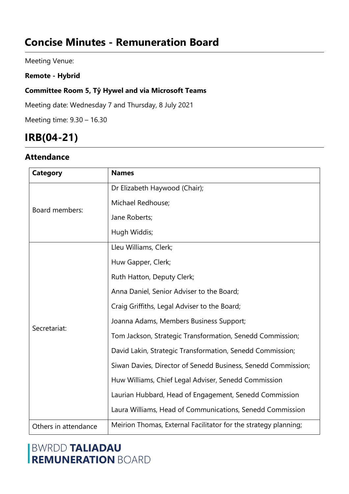# **Concise Minutes - Remuneration Board**

Meeting Venue:

### **Remote - Hybrid**

### **Committee Room 5, Tŷ Hywel and via Microsoft Teams**

Meeting date: Wednesday 7 and Thursday, 8 July 2021

Meeting time: 9.30 – 16.30

# **IRB(04-21)**

## **Attendance**

| Category             | <b>Names</b>                                                    |
|----------------------|-----------------------------------------------------------------|
| Board members:       | Dr Elizabeth Haywood (Chair);                                   |
|                      | Michael Redhouse;                                               |
|                      | Jane Roberts;                                                   |
|                      | Hugh Widdis;                                                    |
| Secretariat:         | Lleu Williams, Clerk;                                           |
|                      | Huw Gapper, Clerk;                                              |
|                      | Ruth Hatton, Deputy Clerk;                                      |
|                      | Anna Daniel, Senior Adviser to the Board;                       |
|                      | Craig Griffiths, Legal Adviser to the Board;                    |
|                      | Joanna Adams, Members Business Support;                         |
|                      | Tom Jackson, Strategic Transformation, Senedd Commission;       |
|                      | David Lakin, Strategic Transformation, Senedd Commission;       |
|                      | Siwan Davies, Director of Senedd Business, Senedd Commission;   |
|                      | Huw Williams, Chief Legal Adviser, Senedd Commission            |
|                      | Laurian Hubbard, Head of Engagement, Senedd Commission          |
|                      | Laura Williams, Head of Communications, Senedd Commission       |
| Others in attendance | Meirion Thomas, External Facilitator for the strategy planning; |

## **BWRDD TALIADAU REMUNERATION BOARD**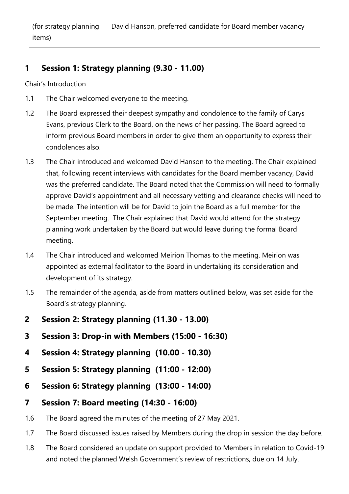## **1 Session 1: Strategy planning (9.30 - 11.00)**

Chair's Introduction

- 1.1 The Chair welcomed everyone to the meeting.
- 1.2 The Board expressed their deepest sympathy and condolence to the family of Carys Evans, previous Clerk to the Board, on the news of her passing. The Board agreed to inform previous Board members in order to give them an opportunity to express their condolences also.
- 1.3 The Chair introduced and welcomed David Hanson to the meeting. The Chair explained that, following recent interviews with candidates for the Board member vacancy, David was the preferred candidate. The Board noted that the Commission will need to formally approve David's appointment and all necessary vetting and clearance checks will need to be made. The intention will be for David to join the Board as a full member for the September meeting. The Chair explained that David would attend for the strategy planning work undertaken by the Board but would leave during the formal Board meeting.
- 1.4 The Chair introduced and welcomed Meirion Thomas to the meeting. Meirion was appointed as external facilitator to the Board in undertaking its consideration and development of its strategy.
- 1.5 The remainder of the agenda, aside from matters outlined below, was set aside for the Board's strategy planning.
- **2 Session 2: Strategy planning (11.30 - 13.00)**
- **3 Session 3: Drop-in with Members (15:00 - 16:30)**
- **4 Session 4: Strategy planning (10.00 - 10.30)**
- **5 Session 5: Strategy planning (11:00 - 12:00)**
- **6 Session 6: Strategy planning (13:00 - 14:00)**
- **7 Session 7: Board meeting (14:30 - 16:00)**
- 1.6 The Board agreed the minutes of the meeting of 27 May 2021.
- 1.7 The Board discussed issues raised by Members during the drop in session the day before.
- 1.8 The Board considered an update on support provided to Members in relation to Covid-19 and noted the planned Welsh Government's review of restrictions, due on 14 July.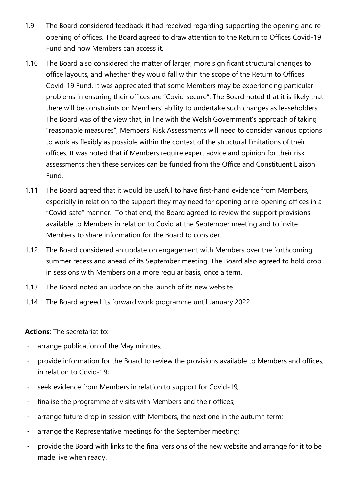- 1.9 The Board considered feedback it had received regarding supporting the opening and reopening of offices. The Board agreed to draw attention to the Return to Offices Covid-19 Fund and how Members can access it.
- 1.10 The Board also considered the matter of larger, more significant structural changes to office layouts, and whether they would fall within the scope of the Return to Offices Covid-19 Fund. It was appreciated that some Members may be experiencing particular problems in ensuring their offices are "Covid-secure". The Board noted that it is likely that there will be constraints on Members' ability to undertake such changes as leaseholders. The Board was of the view that, in line with the Welsh Government's approach of taking "reasonable measures", Members' Risk Assessments will need to consider various options to work as flexibly as possible within the context of the structural limitations of their offices. It was noted that if Members require expert advice and opinion for their risk assessments then these services can be funded from the Office and Constituent Liaison Fund.
- 1.11 The Board agreed that it would be useful to have first-hand evidence from Members, especially in relation to the support they may need for opening or re-opening offices in a "Covid-safe" manner. To that end, the Board agreed to review the support provisions available to Members in relation to Covid at the September meeting and to invite Members to share information for the Board to consider.
- 1.12 The Board considered an update on engagement with Members over the forthcoming summer recess and ahead of its September meeting. The Board also agreed to hold drop in sessions with Members on a more regular basis, once a term.
- 1.13 The Board noted an update on the launch of its new website.
- 1.14 The Board agreed its forward work programme until January 2022.

**Actions**: The secretariat to:

- arrange publication of the May minutes;
- provide information for the Board to review the provisions available to Members and offices, in relation to Covid-19;
- seek evidence from Members in relation to support for Covid-19;
- finalise the programme of visits with Members and their offices;
- arrange future drop in session with Members, the next one in the autumn term;
- arrange the Representative meetings for the September meeting;
- provide the Board with links to the final versions of the new website and arrange for it to be made live when ready.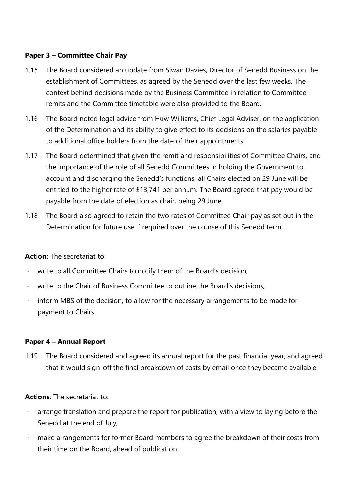### **Paper 3 – Committee Chair Pay**

- 1.15 The Board considered an update from Siwan Davies, Director of Senedd Business on the establishment of Committees, as agreed by the Senedd over the last few weeks. The context behind decisions made by the Business Committee in relation to Committee remits and the Committee timetable were also provided to the Board.
- 1.16 The Board noted legal advice from Huw Williams, Chief Legal Adviser, on the application of the Determination and its ability to give effect to its decisions on the salaries payable to additional office holders from the date of their appointments.
- 1.17 The Board determined that given the remit and responsibilities of Committee Chairs, and the importance of the role of all Senedd Committees in holding the Government to account and discharging the Senedd's functions, all Chairs elected on 29 June will be entitled to the higher rate of £13,741 per annum. The Board agreed that pay would be payable from the date of election as chair, being 29 June.
- 1.18 The Board also agreed to retain the two rates of Committee Chair pay as set out in the Determination for future use if required over the course of this Senedd term.

**Action:** The secretariat to:

- write to all Committee Chairs to notify them of the Board's decision;
- write to the Chair of Business Committee to outline the Board's decisions;
- inform MBS of the decision, to allow for the necessary arrangements to be made for payment to Chairs.

#### **Paper 4 – Annual Report**

1.19 The Board considered and agreed its annual report for the past financial year, and agreed that it would sign-off the final breakdown of costs by email once they became available.

**Actions**: The secretariat to:

- arrange translation and prepare the report for publication, with a view to laying before the Senedd at the end of July;
- make arrangements for former Board members to agree the breakdown of their costs from their time on the Board, ahead of publication.